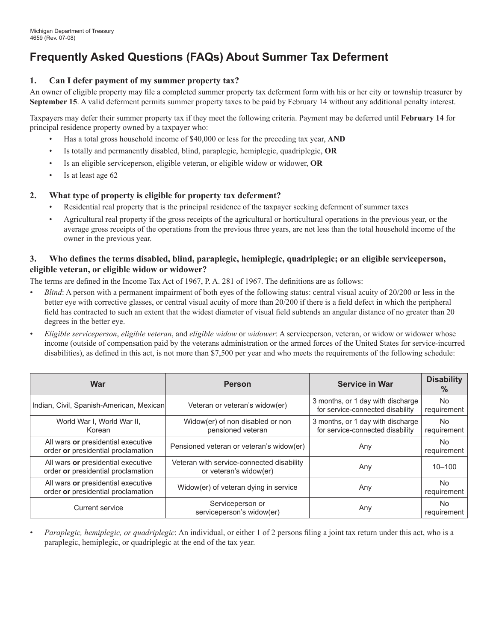# **Frequently Asked Questions (FAQs) About Summer Tax Deferment**

## **Can I defer payment of my summer property tax? 1.**

An owner of eligible property may file a completed summer property tax deferment form with his or her city or township treasurer by **September 15**. A valid deferment permits summer property taxes to be paid by February 14 without any additional penalty interest.

Taxpayers may defer their summer property tax if they meet the following criteria. Payment may be deferred until **February 14** for principal residence property owned by a taxpayer who:

- Has a total gross household income of \$40,000 or less for the preceding tax year, **and** •
- Is totally and permanently disabled, blind, paraplegic, hemiplegic, quadriplegic, **or**  •
- Is an eligible serviceperson, eligible veteran, or eligible widow or widower, **or** •
- Is at least age 62 •

### **What type of property is eligible for property tax deferment? 2.**

- Residential real property that is the principal residence of the taxpayer seeking deferment of summer taxes •
- Agricultural real property if the gross receipts of the agricultural or horticultural operations in the previous year, or the average gross receipts of the operations from the previous three years, are not less than the total household income of the owner in the previous year. •

# **Who defines the terms disabled, blind, paraplegic, hemiplegic, quadriplegic; or an eligible serviceperson, eligible veteran, or eligible widow or widower? 3.**

The terms are defined in the Income Tax Act of 1967, P. A. 281 of 1967. The definitions are as follows:

- *Blind*: A person with a permanent impairment of both eyes of the following status: central visual acuity of 20/200 or less in the better eye with corrective glasses, or central visual acuity of more than 20/200 if there is a field defect in which the peripheral field has contracted to such an extent that the widest diameter of visual field subtends an angular distance of no greater than 20 degrees in the better eye. *•*
- *Eligible serviceperson*, *eligible veteran*, and *eligible widow* or *widower*: A serviceperson, veteran, or widow or widower whose income (outside of compensation paid by the veterans administration or the armed forces of the United States for service-incurred disabilities), as defined in this act, is not more than \$7,500 per year and who meets the requirements of the following schedule: *•*

| War                                                                      | <b>Person</b>                                                       | <b>Service in War</b>                                                 | <b>Disability</b><br>$\%$ |
|--------------------------------------------------------------------------|---------------------------------------------------------------------|-----------------------------------------------------------------------|---------------------------|
| Indian, Civil, Spanish-American, Mexican                                 | Veteran or veteran's widow(er)                                      | 3 months, or 1 day with discharge<br>for service-connected disability | <b>No</b><br>requirement  |
| World War I, World War II,<br>Korean                                     | Widow(er) of non disabled or non<br>pensioned veteran               | 3 months, or 1 day with discharge<br>for service-connected disability | No.<br>requirement        |
| All wars or presidential executive<br>order or presidential proclamation | Pensioned veteran or veteran's widow(er)                            | Any                                                                   | No.<br>requirement        |
| All wars or presidential executive<br>order or presidential proclamation | Veteran with service-connected disability<br>or veteran's widow(er) | Any                                                                   | $10 - 100$                |
| All wars or presidential executive<br>order or presidential proclamation | Widow(er) of veteran dying in service                               | Any                                                                   | <b>No</b><br>requirement  |
| <b>Current service</b>                                                   | Serviceperson or<br>serviceperson's widow(er)                       | Any                                                                   | No.<br>requirement        |

*Paraplegic, hemiplegic, or quadriplegic*: An individual, or either 1 of 2 persons filing a joint tax return under this act, who is a paraplegic, hemiplegic, or quadriplegic at the end of the tax year. *•*